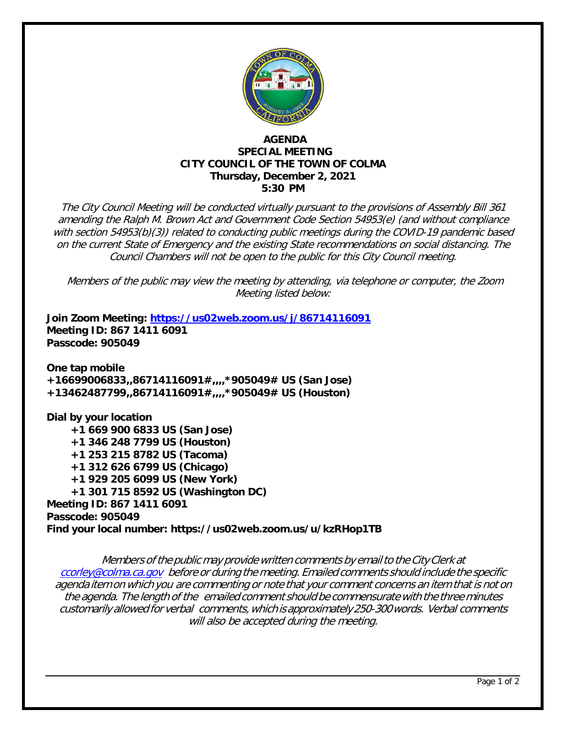

## **AGENDA SPECIAL MEETING CITY COUNCIL OF THE TOWN OF COLMA Thursday, December 2, 2021 5:30 PM**

The City Council Meeting will be conducted virtually pursuant to the provisions of Assembly Bill 361 amending the Ralph M. Brown Act and Government Code Section 54953(e) (and without compliance with section 54953(b)(3)) related to conducting public meetings during the COVID-19 pandemic based on the current State of Emergency and the existing State recommendations on social distancing. The Council Chambers will not be open to the public for this City Council meeting.

Members of the public may view the meeting by attending, via telephone or computer, the Zoom Meeting listed below:

**Join Zoom Meeting:<https://us02web.zoom.us/j/86714116091> Meeting ID: 867 1411 6091 Passcode: 905049**

**One tap mobile +16699006833,,86714116091#,,,,\*905049# US (San Jose) +13462487799,,86714116091#,,,,\*905049# US (Houston)**

**Dial by your location +1 669 900 6833 US (San Jose) +1 346 248 7799 US (Houston) +1 253 215 8782 US (Tacoma) +1 312 626 6799 US (Chicago) +1 929 205 6099 US (New York) +1 301 715 8592 US (Washington DC) Meeting ID: 867 1411 6091 Passcode: 905049 Find your local number: https://us02web.zoom.us/u/kzRHop1TB**

Members of the public may provide written comments by email to the City Clerk at [ccorley@colma.ca.gov](mailto:ccorley@colma.ca.gov) before or during the meeting. Emailed comments should include the specific agenda item on which you are commenting or note that your comment concerns an item that is not on the agenda. The length of the emailed comment should be commensurate with the three minutes customarily allowed for verbal comments, which is approximately 250-300 words. Verbal comments will also be accepted during the meeting.